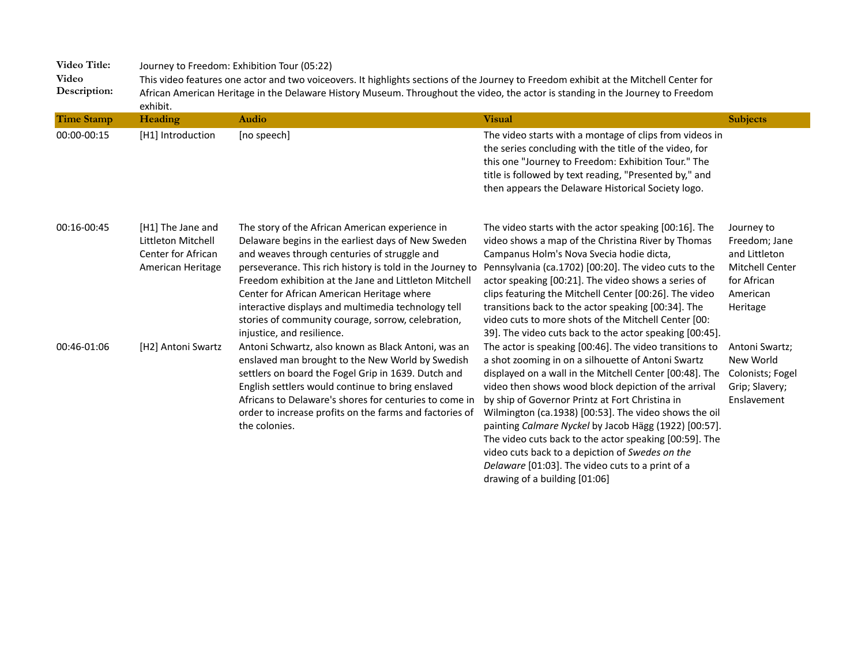**Video Description:**  This video features one actor and two voiceovers. It highlights sections of the Journey to Freedom exhibit at the Mitchell Center for African American Heritage in the Delaware History Museum. Throughout the video, the actor is standing in the Journey to Freedom exhibit.

| <b>Time Stamp</b> | Heading                                                                            | Audio                                                                                                                                                                                                                                                                                                                                                                                                                                                                | <b>Visual</b>                                                                                                                                                                                                                                                                                                                                                                                                                                                                                                                                                                                           | <b>Subjects</b>                                                                                               |
|-------------------|------------------------------------------------------------------------------------|----------------------------------------------------------------------------------------------------------------------------------------------------------------------------------------------------------------------------------------------------------------------------------------------------------------------------------------------------------------------------------------------------------------------------------------------------------------------|---------------------------------------------------------------------------------------------------------------------------------------------------------------------------------------------------------------------------------------------------------------------------------------------------------------------------------------------------------------------------------------------------------------------------------------------------------------------------------------------------------------------------------------------------------------------------------------------------------|---------------------------------------------------------------------------------------------------------------|
| 00:00-00:15       | [H1] Introduction                                                                  | [no speech]                                                                                                                                                                                                                                                                                                                                                                                                                                                          | The video starts with a montage of clips from videos in<br>the series concluding with the title of the video, for<br>this one "Journey to Freedom: Exhibition Tour." The<br>title is followed by text reading, "Presented by," and<br>then appears the Delaware Historical Society logo.                                                                                                                                                                                                                                                                                                                |                                                                                                               |
| 00:16-00:45       | [H1] The Jane and<br>Littleton Mitchell<br>Center for African<br>American Heritage | The story of the African American experience in<br>Delaware begins in the earliest days of New Sweden<br>and weaves through centuries of struggle and<br>perseverance. This rich history is told in the Journey to<br>Freedom exhibition at the Jane and Littleton Mitchell<br>Center for African American Heritage where<br>interactive displays and multimedia technology tell<br>stories of community courage, sorrow, celebration,<br>injustice, and resilience. | The video starts with the actor speaking [00:16]. The<br>video shows a map of the Christina River by Thomas<br>Campanus Holm's Nova Svecia hodie dicta,<br>Pennsylvania (ca.1702) [00:20]. The video cuts to the<br>actor speaking [00:21]. The video shows a series of<br>clips featuring the Mitchell Center [00:26]. The video<br>transitions back to the actor speaking [00:34]. The<br>video cuts to more shots of the Mitchell Center [00:<br>39]. The video cuts back to the actor speaking [00:45].                                                                                             | Journey to<br>Freedom; Jane<br>and Littleton<br><b>Mitchell Center</b><br>for African<br>American<br>Heritage |
| 00:46-01:06       | [H2] Antoni Swartz                                                                 | Antoni Schwartz, also known as Black Antoni, was an<br>enslaved man brought to the New World by Swedish<br>settlers on board the Fogel Grip in 1639. Dutch and<br>English settlers would continue to bring enslaved<br>Africans to Delaware's shores for centuries to come in<br>order to increase profits on the farms and factories of<br>the colonies.                                                                                                            | The actor is speaking [00:46]. The video transitions to<br>a shot zooming in on a silhouette of Antoni Swartz<br>displayed on a wall in the Mitchell Center [00:48]. The<br>video then shows wood block depiction of the arrival<br>by ship of Governor Printz at Fort Christina in<br>Wilmington (ca.1938) [00:53]. The video shows the oil<br>painting Calmare Nyckel by Jacob Hägg (1922) [00:57].<br>The video cuts back to the actor speaking [00:59]. The<br>video cuts back to a depiction of Swedes on the<br>Delaware [01:03]. The video cuts to a print of a<br>drawing of a building [01:06] | Antoni Swartz;<br>New World<br>Colonists; Fogel<br>Grip; Slavery;<br>Enslavement                              |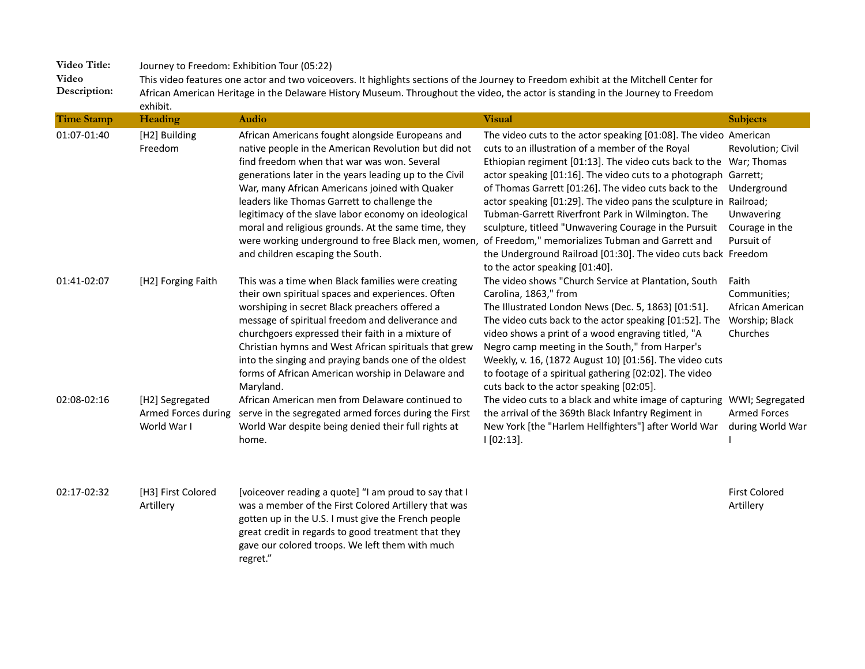**Video Description:**  This video features one actor and two voiceovers. It highlights sections of the Journey to Freedom exhibit at the Mitchell Center for African American Heritage in the Delaware History Museum. Throughout the video, the actor is standing in the Journey to Freedom exhibit.

| <b>Time Stamp</b> | Heading                                               | <b>Audio</b>                                                                                                                                                                                                                                                                                                                                                                                                                                                                                                                 | <b>Visual</b>                                                                                                                                                                                                                                                                                                                                                                                                                                                                                                                                                                                                                                        | <b>Subjects</b>                                                                               |
|-------------------|-------------------------------------------------------|------------------------------------------------------------------------------------------------------------------------------------------------------------------------------------------------------------------------------------------------------------------------------------------------------------------------------------------------------------------------------------------------------------------------------------------------------------------------------------------------------------------------------|------------------------------------------------------------------------------------------------------------------------------------------------------------------------------------------------------------------------------------------------------------------------------------------------------------------------------------------------------------------------------------------------------------------------------------------------------------------------------------------------------------------------------------------------------------------------------------------------------------------------------------------------------|-----------------------------------------------------------------------------------------------|
| 01:07-01:40       | [H2] Building<br>Freedom                              | African Americans fought alongside Europeans and<br>native people in the American Revolution but did not<br>find freedom when that war was won. Several<br>generations later in the years leading up to the Civil<br>War, many African Americans joined with Quaker<br>leaders like Thomas Garrett to challenge the<br>legitimacy of the slave labor economy on ideological<br>moral and religious grounds. At the same time, they<br>were working underground to free Black men, women,<br>and children escaping the South. | The video cuts to the actor speaking [01:08]. The video American<br>cuts to an illustration of a member of the Royal<br>Ethiopian regiment [01:13]. The video cuts back to the<br>actor speaking [01:16]. The video cuts to a photograph Garrett;<br>of Thomas Garrett [01:26]. The video cuts back to the<br>actor speaking [01:29]. The video pans the sculpture in Railroad;<br>Tubman-Garrett Riverfront Park in Wilmington. The<br>sculpture, titleed "Unwavering Courage in the Pursuit<br>of Freedom," memorializes Tubman and Garrett and<br>the Underground Railroad [01:30]. The video cuts back Freedom<br>to the actor speaking [01:40]. | Revolution; Civil<br>War; Thomas<br>Underground<br>Unwavering<br>Courage in the<br>Pursuit of |
| 01:41-02:07       | [H2] Forging Faith                                    | This was a time when Black families were creating<br>their own spiritual spaces and experiences. Often<br>worshiping in secret Black preachers offered a<br>message of spiritual freedom and deliverance and<br>churchgoers expressed their faith in a mixture of<br>Christian hymns and West African spirituals that grew<br>into the singing and praying bands one of the oldest<br>forms of African American worship in Delaware and<br>Maryland.                                                                         | The video shows "Church Service at Plantation, South<br>Carolina, 1863," from<br>The Illustrated London News (Dec. 5, 1863) [01:51].<br>The video cuts back to the actor speaking [01:52]. The<br>video shows a print of a wood engraving titled, "A<br>Negro camp meeting in the South," from Harper's<br>Weekly, v. 16, (1872 August 10) [01:56]. The video cuts<br>to footage of a spiritual gathering [02:02]. The video<br>cuts back to the actor speaking [02:05].                                                                                                                                                                             | Faith<br>Communities;<br>African American<br>Worship; Black<br>Churches                       |
| 02:08-02:16       | [H2] Segregated<br>Armed Forces during<br>World War I | African American men from Delaware continued to<br>serve in the segregated armed forces during the First<br>World War despite being denied their full rights at<br>home.                                                                                                                                                                                                                                                                                                                                                     | The video cuts to a black and white image of capturing<br>the arrival of the 369th Black Infantry Regiment in<br>New York [the "Harlem Hellfighters"] after World War<br>$1[02:13]$ .                                                                                                                                                                                                                                                                                                                                                                                                                                                                | WWI; Segregated<br><b>Armed Forces</b><br>during World War                                    |
| 02:17-02:32       | [H3] First Colored<br>Artillery                       | [voiceover reading a quote] "I am proud to say that I<br>was a member of the First Colored Artillery that was<br>gotten up in the U.S. I must give the French people<br>great credit in regards to good treatment that they<br>gave our colored troops. We left them with much<br>regret."                                                                                                                                                                                                                                   |                                                                                                                                                                                                                                                                                                                                                                                                                                                                                                                                                                                                                                                      | <b>First Colored</b><br>Artillery                                                             |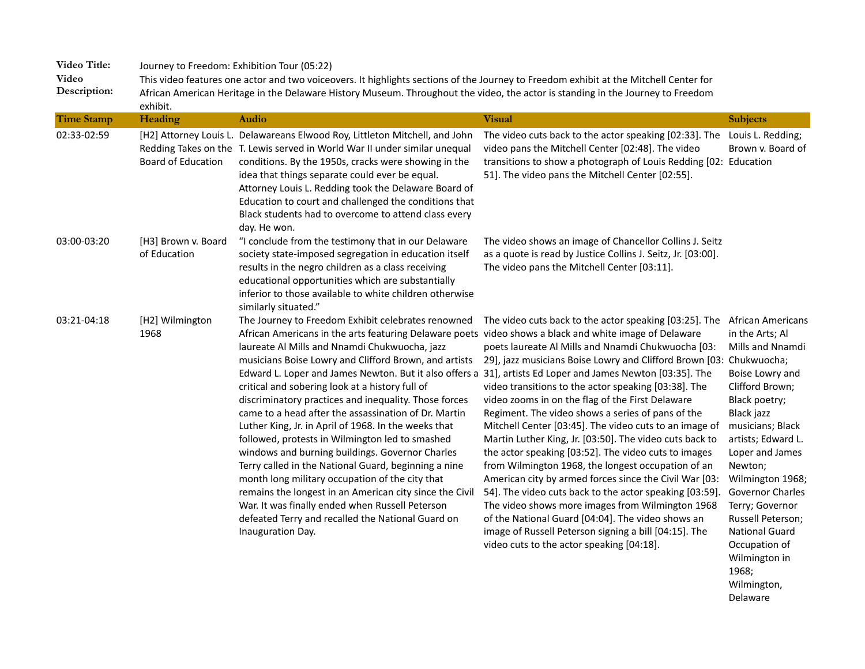**Video Description:**  This video features one actor and two voiceovers. It highlights sections of the Journey to Freedom exhibit at the Mitchell Center for African American Heritage in the Delaware History Museum. Throughout the video, the actor is standing in the Journey to Freedom exhibit.

| <b>Time Stamp</b> | Heading                             | <b>Audio</b>                                                                                                                                                                                                                                                                                                                                                                                                                                                                                                                                                                                                                                                                                                                                                                                                                                                                                                                                                          | <b>Visual</b>                                                                                                                                                                                                                                                                                                                                                                                                                                                                                                                                                                                                                                                                                                                                                                                                                                                                                                                                                          | <b>Subjects</b>                                                                                                                                                                                                                                                                                                                                                               |
|-------------------|-------------------------------------|-----------------------------------------------------------------------------------------------------------------------------------------------------------------------------------------------------------------------------------------------------------------------------------------------------------------------------------------------------------------------------------------------------------------------------------------------------------------------------------------------------------------------------------------------------------------------------------------------------------------------------------------------------------------------------------------------------------------------------------------------------------------------------------------------------------------------------------------------------------------------------------------------------------------------------------------------------------------------|------------------------------------------------------------------------------------------------------------------------------------------------------------------------------------------------------------------------------------------------------------------------------------------------------------------------------------------------------------------------------------------------------------------------------------------------------------------------------------------------------------------------------------------------------------------------------------------------------------------------------------------------------------------------------------------------------------------------------------------------------------------------------------------------------------------------------------------------------------------------------------------------------------------------------------------------------------------------|-------------------------------------------------------------------------------------------------------------------------------------------------------------------------------------------------------------------------------------------------------------------------------------------------------------------------------------------------------------------------------|
| 02:33-02:59       | <b>Board of Education</b>           | [H2] Attorney Louis L. Delawareans Elwood Roy, Littleton Mitchell, and John<br>Redding Takes on the T. Lewis served in World War II under similar unequal<br>conditions. By the 1950s, cracks were showing in the<br>idea that things separate could ever be equal.<br>Attorney Louis L. Redding took the Delaware Board of<br>Education to court and challenged the conditions that<br>Black students had to overcome to attend class every<br>day. He won.                                                                                                                                                                                                                                                                                                                                                                                                                                                                                                          | The video cuts back to the actor speaking [02:33]. The<br>video pans the Mitchell Center [02:48]. The video<br>transitions to show a photograph of Louis Redding [02:<br>51]. The video pans the Mitchell Center [02:55].                                                                                                                                                                                                                                                                                                                                                                                                                                                                                                                                                                                                                                                                                                                                              | Louis L. Redding;<br>Brown v. Board of<br>Education                                                                                                                                                                                                                                                                                                                           |
| 03:00-03:20       | [H3] Brown v. Board<br>of Education | "I conclude from the testimony that in our Delaware<br>society state-imposed segregation in education itself<br>results in the negro children as a class receiving<br>educational opportunities which are substantially<br>inferior to those available to white children otherwise<br>similarly situated."                                                                                                                                                                                                                                                                                                                                                                                                                                                                                                                                                                                                                                                            | The video shows an image of Chancellor Collins J. Seitz<br>as a quote is read by Justice Collins J. Seitz, Jr. [03:00].<br>The video pans the Mitchell Center [03:11].                                                                                                                                                                                                                                                                                                                                                                                                                                                                                                                                                                                                                                                                                                                                                                                                 |                                                                                                                                                                                                                                                                                                                                                                               |
| 03:21-04:18       | [H2] Wilmington<br>1968             | The Journey to Freedom Exhibit celebrates renowned<br>African Americans in the arts featuring Delaware poets video shows a black and white image of Delaware<br>laureate Al Mills and Nnamdi Chukwuocha, jazz<br>musicians Boise Lowry and Clifford Brown, and artists<br>Edward L. Loper and James Newton. But it also offers a<br>critical and sobering look at a history full of<br>discriminatory practices and inequality. Those forces<br>came to a head after the assassination of Dr. Martin<br>Luther King, Jr. in April of 1968. In the weeks that<br>followed, protests in Wilmington led to smashed<br>windows and burning buildings. Governor Charles<br>Terry called in the National Guard, beginning a nine<br>month long military occupation of the city that<br>remains the longest in an American city since the Civil<br>War. It was finally ended when Russell Peterson<br>defeated Terry and recalled the National Guard on<br>Inauguration Day. | The video cuts back to the actor speaking [03:25]. The<br>poets laureate Al Mills and Nnamdi Chukwuocha [03:<br>29], jazz musicians Boise Lowry and Clifford Brown [03:<br>31], artists Ed Loper and James Newton [03:35]. The<br>video transitions to the actor speaking [03:38]. The<br>video zooms in on the flag of the First Delaware<br>Regiment. The video shows a series of pans of the<br>Mitchell Center [03:45]. The video cuts to an image of<br>Martin Luther King, Jr. [03:50]. The video cuts back to<br>the actor speaking [03:52]. The video cuts to images<br>from Wilmington 1968, the longest occupation of an<br>American city by armed forces since the Civil War [03:<br>54]. The video cuts back to the actor speaking [03:59].<br>The video shows more images from Wilmington 1968<br>of the National Guard [04:04]. The video shows an<br>image of Russell Peterson signing a bill [04:15]. The<br>video cuts to the actor speaking [04:18]. | <b>African Americans</b><br>in the Arts; Al<br>Mills and Nnamdi<br>Chukwuocha;<br>Boise Lowry and<br>Clifford Brown;<br>Black poetry;<br>Black jazz<br>musicians; Black<br>artists; Edward L.<br>Loper and James<br>Newton;<br>Wilmington 1968;<br><b>Governor Charles</b><br>Terry; Governor<br>Russell Peterson;<br><b>National Guard</b><br>Occupation of<br>Wilmington in |

1968; Wilmington, Delaware